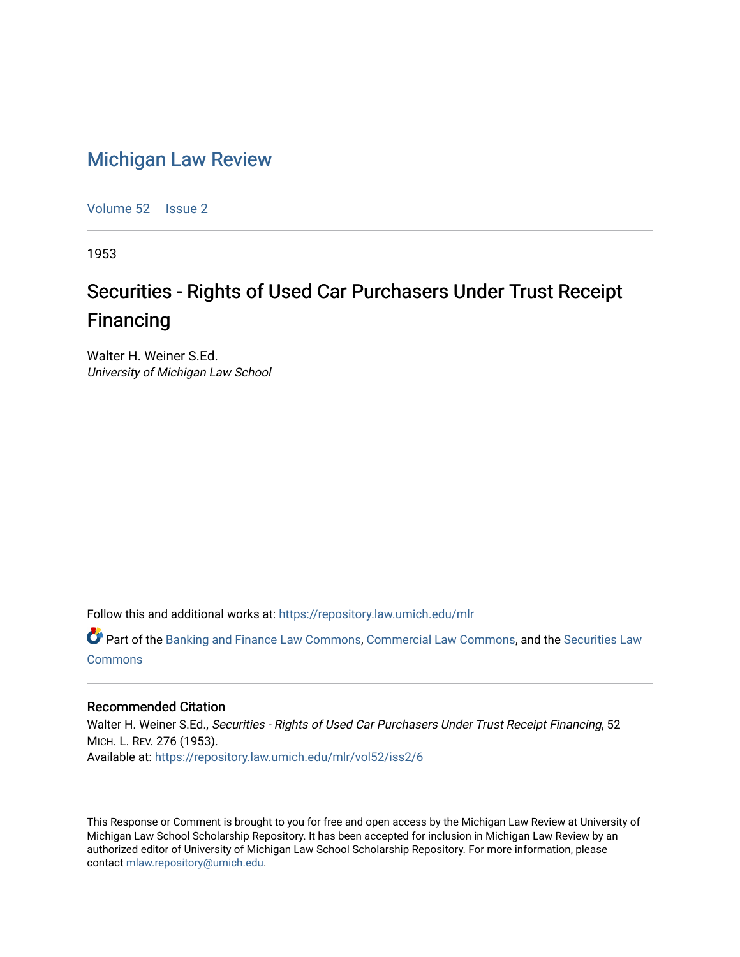## [Michigan Law Review](https://repository.law.umich.edu/mlr)

[Volume 52](https://repository.law.umich.edu/mlr/vol52) | [Issue 2](https://repository.law.umich.edu/mlr/vol52/iss2)

1953

# Securities - Rights of Used Car Purchasers Under Trust Receipt Financing

Walter H. Weiner S.Ed. University of Michigan Law School

Follow this and additional works at: [https://repository.law.umich.edu/mlr](https://repository.law.umich.edu/mlr?utm_source=repository.law.umich.edu%2Fmlr%2Fvol52%2Fiss2%2F6&utm_medium=PDF&utm_campaign=PDFCoverPages) 

Part of the [Banking and Finance Law Commons,](http://network.bepress.com/hgg/discipline/833?utm_source=repository.law.umich.edu%2Fmlr%2Fvol52%2Fiss2%2F6&utm_medium=PDF&utm_campaign=PDFCoverPages) [Commercial Law Commons,](http://network.bepress.com/hgg/discipline/586?utm_source=repository.law.umich.edu%2Fmlr%2Fvol52%2Fiss2%2F6&utm_medium=PDF&utm_campaign=PDFCoverPages) and the [Securities Law](http://network.bepress.com/hgg/discipline/619?utm_source=repository.law.umich.edu%2Fmlr%2Fvol52%2Fiss2%2F6&utm_medium=PDF&utm_campaign=PDFCoverPages) [Commons](http://network.bepress.com/hgg/discipline/619?utm_source=repository.law.umich.edu%2Fmlr%2Fvol52%2Fiss2%2F6&utm_medium=PDF&utm_campaign=PDFCoverPages)

#### Recommended Citation

Walter H. Weiner S.Ed., Securities - Rights of Used Car Purchasers Under Trust Receipt Financing, 52 MICH. L. REV. 276 (1953). Available at: [https://repository.law.umich.edu/mlr/vol52/iss2/6](https://repository.law.umich.edu/mlr/vol52/iss2/6?utm_source=repository.law.umich.edu%2Fmlr%2Fvol52%2Fiss2%2F6&utm_medium=PDF&utm_campaign=PDFCoverPages)

This Response or Comment is brought to you for free and open access by the Michigan Law Review at University of Michigan Law School Scholarship Repository. It has been accepted for inclusion in Michigan Law Review by an authorized editor of University of Michigan Law School Scholarship Repository. For more information, please contact [mlaw.repository@umich.edu](mailto:mlaw.repository@umich.edu).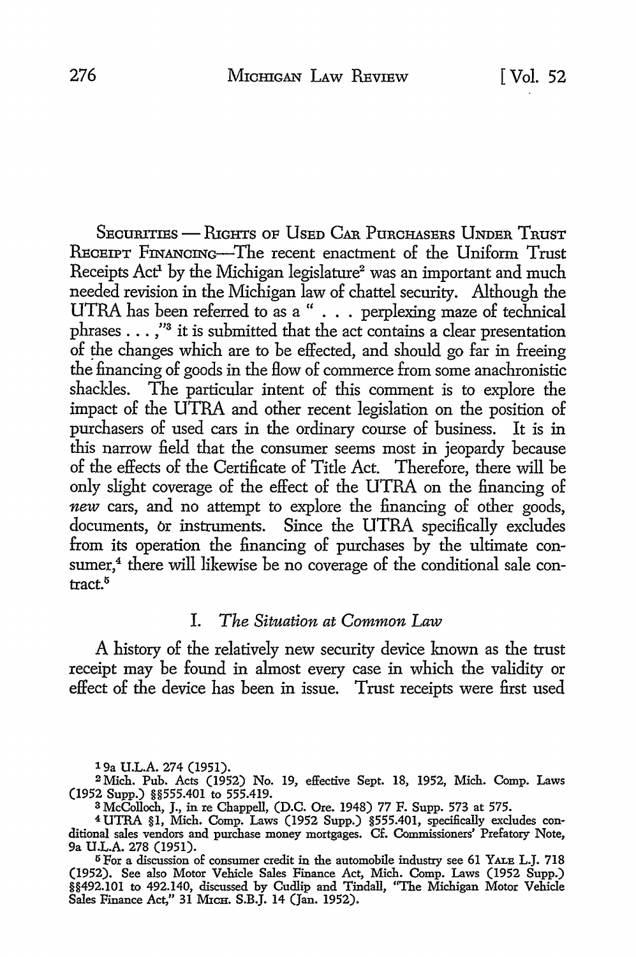SECURITIES - RIGHTS OF USED CAR PURCHASERS UNDER TRUST RECEIPT FINANCING-The recent enactment of the Uniform Trust Receipts Act<sup>1</sup> by the Michigan legislature<sup>2</sup> was an important and much needed revision in the Michigan law of chattel security. Although the UTRA has been referred to as a " . . . perplexing maze of technical phrases . . . ,"<sup>3</sup> it is submitted that the act contains a clear presentation of the changes which are to be effected, and should go far in freeing the financing of goods in the flow of commerce from some anachronistic shackles. The particular intent of this comment is to explore the impact of the UTRA and other recent legislation on the position of purchasers of used cars in the ordinary course of business. It is in this narrow field that the consumer seems most in jeopardy because of the effects of the Certificate of Title Act. Therefore, there will be only slight coverage of the effect of the UTRA on the financing of *new* cars, and no attempt to explore the financing of other goods, documents, or instruments. Since the UTRA specifically excludes from its operation the financing of purchases by the ultimate consumer,<sup>4</sup> there will likewise be no coverage of the conditional sale contract.<sup>5</sup>

#### I. *The Situation at Common Law*

A history of the relatively new security device known as the trust receipt may be found in almost every case in which the validity or effect of the device has been in issue. Trust receipts were first used

19a U.L.A. 274 (1951).

<sup>2</sup>Mich. Pub. Acts (1952) No. 19, effective Sept. 18, 1952, Mich. Comp. Laws (1952 Supp.) §§555.401 to 555.419.

<sup>3</sup> McColloch, J., in re Chappell, (D.C. Ore. 1948) 77 F. Supp. 573 at 575.

<sup>4</sup> UTRA §1, Mich. Comp. Laws (1952 Supp.) §555.401, specifically excludes conditional sales vendors and purchase money mortgages. Cf. Commissioners' Prefatory Note, 9a U.L.A. 278 (1951).

<sup>15</sup> For a discussion of consumer credit in the automobile industry see 61 YALE L.J. 718 (1952). See also Motor Vehicle Sales Finance Act, Mich. Comp. Laws (1952 Supp.) §§492.101 to 492.140, discussed by Cudlip and Tindall, ''The Michigan Motor Vehicle Sales Finance Act," 31 MICH. S.B.J. 14 (Jan. 1952).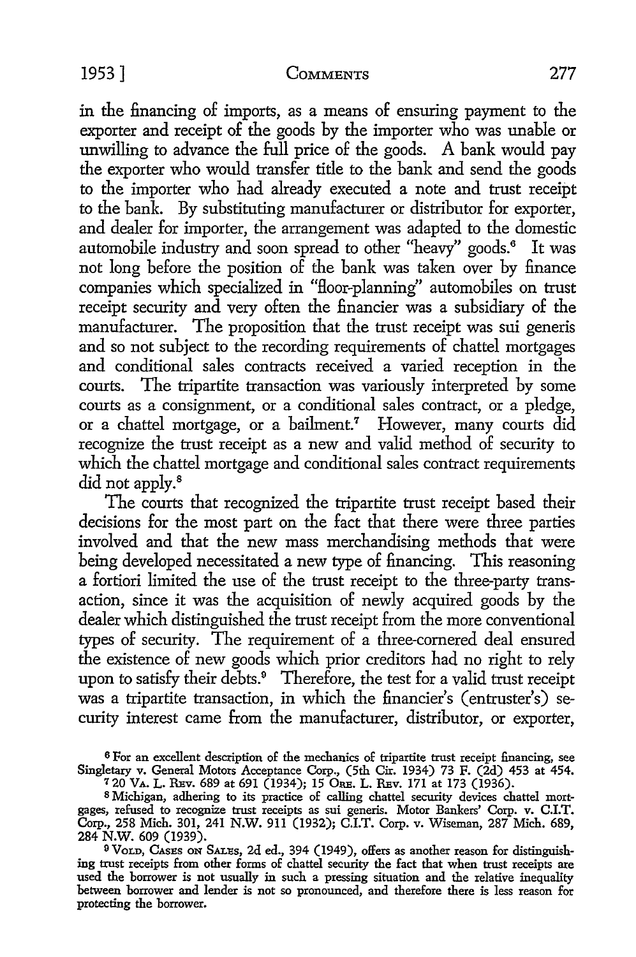in the financing of imports, as a means of ensuring payment to the exporter and receipt of the goods by the importer who was unable or unwilling to advance the full price of the goods. A bank would pay the exporter who would transfer title to the bank and send the goods to the importer who had already executed a note and trust receipt to the bank. By substituting manufacturer or distributor for exporter, and dealer for importer, the arrangement was adapted to the domestic automobile industry and soon spread to other "heavy" goods.<sup>6</sup> It was not long before the position of the bank was taken over by finance companies which specialized in "floor-planning" automobiles on trust receipt security and very often the financier was a subsidiary of the manufacturer. The proposition that the trust receipt was sui generis and so not subject to the recording requirements of chattel mortgages and conditional sales contracts received a varied reception in the courts. The tripartite transaction was variously interpreted by some courts as a consignment, or a conditional sales contract, or a pledge, or a chattel mortgage, or a bailment.<sup>7</sup> However, many courts did recognize the trust receipt as a new and valid method of security to which the chattel mortgage and conditional sales contract requirements did not apply.<sup>8</sup>

The courts that recognized the tripartite trust receipt based their decisions for the most part on the fact that there were three parties involved and that the new mass merchandising methods that were being developed necessitated a new type of financing. This reasoning a fortiori limited the use of the trust receipt to the three-party transaction, since it was the acquisition of newly acquired goods by the dealer which distinguished the trust receipt from the more conventional types of security. The requirement of a three-cornered deal ensured the existence of new goods which prior creditors had no right to rely upon to satisfy their debts.<sup>9</sup> Therefore, the test for a valid trust receipt was a tripartite transaction, in which the financier's (entruster's) security interest came from the manufacturer, distributor, or exporter,

6 For an excellent description of the mechanics of tripartite trust receipt financing, see Singletary v. General Motors Acceptance Corp., (5th Cir. 1934) 73 F. (2d) 453 at 454.  $720$  VA. L. REv. 689 at 691 (1934); 15 ORE. L. REv. 171 at 173 (1936).

8 Michigan, adhering to its practice of calling chattel security devices chattel mortgages, refused to recognize trust receipts as sui generis. Motor Bankers' Corp. v. C.I.T. Corp., 258 Mich. 301, 241 N.W. 911 (1932); C.I.T. Corp. v. Wiseman, 287 Mich. 689,

284 N.W. 609 (1939). 9 VoLD, CASES ON SALES, 2d ed., 394 (1949), offers as another reason for distinguish**ing** trust receipts from other forms of chattel security the fact that when trust receipts are used the borrower is not usually in such a pressing situation and the relative inequality between borrower and lender is not so pronounced, and therefore there is less reason for protecting the borrower.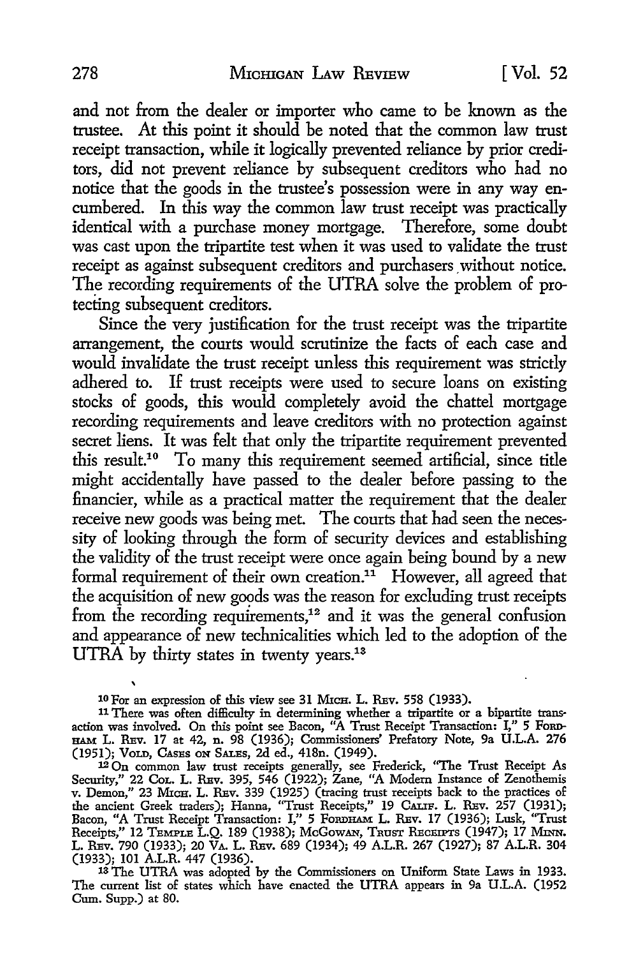and not from the dealer or importer who came to be known as the trustee. At this point it should be noted that the common law trust receipt transaction, while it logically prevented reliance by prior creditors, did not prevent reliance by subsequent creditors who had no notice that the goods in the trustee's possession were in any way encumbered. In this way the common law trust receipt was practically identical with a purchase money mortgage. Therefore, some doubt was cast upon the tripartite test when it was used to validate the trust receipt as against subsequent creditors and purchasers without notice. The recording requirements of the UTRA solve the problem of protecting subsequent creditors.

Since the very justification for the trust receipt was the tripartite arrangement, the courts would scrutinize the facts of each case and would invalidate the trust receipt unless this requirement was strictly adhered to. If trust receipts were used to secure loans on existing stocks of goods, this would completely avoid the chattel mortgage recording requirements and leave creditors with no protection against secret liens. It was felt that only the tripartite requirement prevented this result.10 To many this requirement seemed artificial, since title might accidentally have passed to the dealer before passing to the financier, while as a practical matter the requirement that the dealer receive new goods was being met. The courts that had seen the necessity of looking through the form of security devices and establishing the validity of the trust receipt were once again being bound by a new formal requirement of their own creation. $11$  However, all agreed that the acquisition of new goods was the reason for excluding trust receipts from the recording requirements,<sup>12</sup> and it was the general confusion and appearance of new technicalities which led to the adoption of the UTRA by thirty states in twenty years.<sup>13</sup>

10 For an expression of this view see 31 MICH. L. REv. 558 (1933).

11 There was often difficulty in determining whether a tripartite or a bipartite transaction was involved. On this point see Bacon, "A Trust Receipt Transaction: I," 5 FoRD-HAM L. REv. 17 at 42, n. 98 (1936); Commissioners' Prefatory Note, 9a U.L.A. 276 (1951); VoLD, CASES ON SALES, 2d ed., 418n. (1949).

12 On common law trust receipts generally, see Frederick, "The Trust Receipt As Security," 22 Col. L. REv. 395, 546 (1922); Zane, "A Modern Instance of Zenothemis v. Demon," 23 MICH. L. REv. 339 (1925) (tracing trust receipts back to the practices of the ancient Greek traders); Hanna, "Trust Receipts," 19 CALIF. L. REv. 257 (1931); Bacon, "A Trust Receipt Transaction: I," 5 FORDHAM L. REV. 17 (1936); Lusk, "Trust Receipts," 12 TEMPLE L.Q. 189 (1938); McGowan, Trust Receipts (1947); 17 Minn. L. REv. 790 (1933); 20 VA. L. REv. 689 (1934); 49 A.L.R. 267 (1927); 87 A.L.R. 304 (1933); 101 A.L.R. 447 (1936). 13 The UTRA was adopted by the Commissioners on Uniform State Laws in 1933.

The current list of states which have enacted the UTRA appears in 9a U.L.A. (1952 Cum. Supp.) at 80.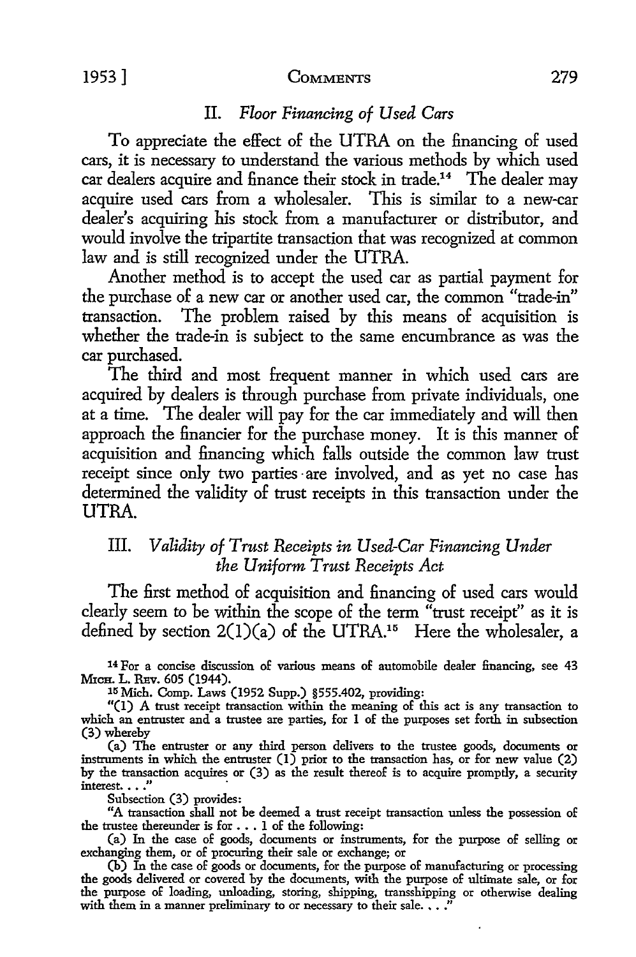#### II. *Floor Financing of Used Cars*

To appreciate the effect of the UTRA on the financing of used cars, it is necessary to understand the various methods by which used car dealers acquire and finance their stock in trade.<sup>14</sup> The dealer may acquire used cars from a wholesaler. This is similar to a new-car dealer's acquiring his stock from a manufacturer or distributor, and would involve the tripartite transaction that was recognized at common law and is still recognized under the UTRA.

Another method is to accept the used car as partial payment for the purchase of a new car or another used car, the common "trade-in" transaction. The problem raised by this means of acquisition is whether the trade-in is subject to the same encumbrance as was the car purchased.

The third and most frequent manner in which used cars are acquired by dealers is through purchase from private individuals, one at a time. The dealer will pay for the car immediately and will then approach the financier for the purchase money. It is this manner of acquisition and financing which falls outside the common law trust receipt since only two parties are involved, and as yet no case has determined the validity of trust receipts in this transaction under the UTRA.

### III. *Validity of Trust Receipts in Used-Car Financing Under the Uniform Trust Receipts Act*

The first method of acquisition and financing of used cars would clearly seem to be within the scope of the term "trust receipt" as it is defined by section  $2(1)(a)$  of the UTRA.<sup>15</sup> Here the wholesaler, a

14 For a concise discussion of various means of automobile dealer financing, see 43 MICH. L. REV. 605 (1944).

15 Mich. Comp. Laws (1952 Supp.) §555.402, providing:

"(I) A trust receipt transaction within the meaning of this act is any transaction to which an entruster and a trustee are parties, for 1 of the purposes set forth in subsection (3) whereby

(a) The entruster or any third person delivers to the trustee goods, documents or instruments in which the entruster  $(1)$  prior to the transaction has, or for new value  $(2)$ by the transaction acquires or (3) as the result thereof is to acquire promptly, a security interest.  $\ldots$  ."

Subsection (3) provides:

"A transaction shall not be deemed a trust receipt transaction uuless the possession of the trustee thereunder is for  $\dots$  1 of the following:

(a) In the case of goods, documents or instruments, for the purpose of selling or exchanging them, or of procuring their sale or exchange; or

(b) In the case of goods or documents, for the purpose of manufacturing or processing the goods delivered or covered by the documents, with the purpose of ultimate sale, or for the purpose of loading, unloading, storing, shipping, transshipping or otherwise dealing with them in a manner preliminary to or necessary to their sale.  $\ldots$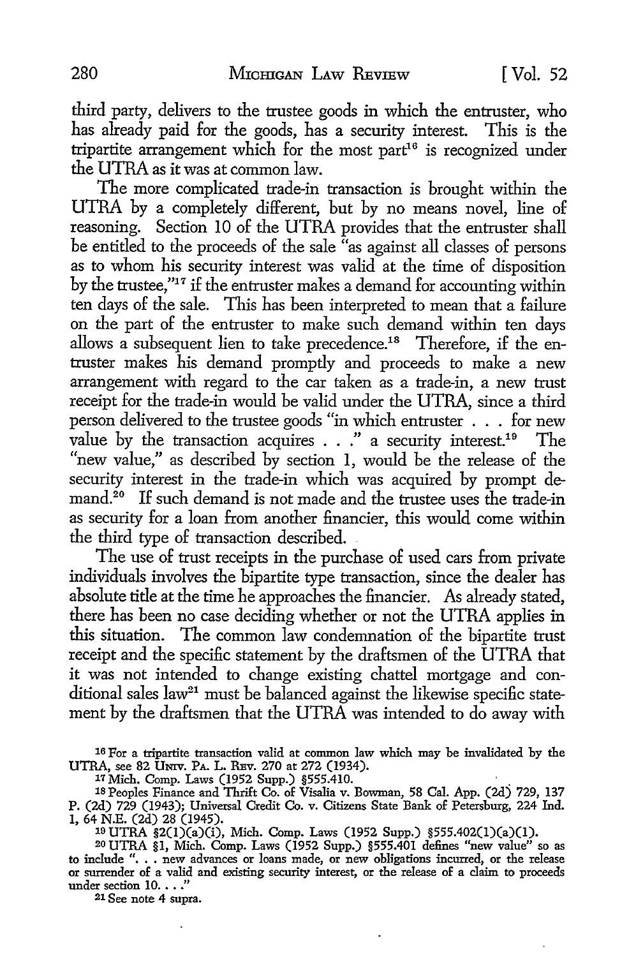third party, delivers to the trustee goods in which the entruster, who has already paid for the goods, has a security interest. This is the tripartite arrangement which for the most part<sup>16</sup> is recognized under the UTRA as it was at common law.

The more complicated trade-in transaction is brought within the UTRA by a completely different, but by no means novel, line of reasoning. Section IO of the UTRA provides that the entruster shall be entitled to the proceeds of the sale "as against all classes of persons as to whom his security interest was valid at the time of disposition by the trustee,"17 if the entruster makes a demand for accounting within ten days of the sale. This has been interpreted to mean that a failure on the part of the entruster to make such demand within ten days allows a subsequent lien to take precedence.<sup>18</sup> Therefore, if the entruster makes his demand promptly and proceeds to make a new arrangement with regard to the car taken as a trade-in, a new trust receipt for the trade-in would be valid under the UTRA, since a third person delivered to the trustee goods "in which entruster . . . for new value by the transaction acquires  $\ldots$  " a security interest.<sup>19</sup> The "new value," as described by section 1, would be the release of the security interest in the trade-in which was acquired by prompt demand.<sup>20</sup> If such demand is not made and the trustee uses the trade-in as security for a loan from another financier, this would come within the third type of transaction described.

The use of trust receipts in the purchase of used cars from private individuals involves the bipartite type transaction, since the dealer has absolute title at the time he approaches the financier. As already stated, there has been no case deciding whether or not the UTRA applies in this situation. The common law condemnation of the bipartite trust receipt and the specific statement by the draftsmen of the UTRA that it was not intended to change existing chattel mortgage and conditional sales law<sup>21</sup> must be balanced against the likewise specific statement by the draftsmen that the UTRA was intended to do away with

16 For a tripartite transaction valid at common law which may be invalidated by the UTRA, see 82 UNIV. PA. L. REv. 270 at 272 (1934).

17 Mich. Comp. Laws (1952 Supp.) §555.410. .

18 Peoples Finance and Thrift Co. of Visalia v. Bowman, 58 Cal. App. (2d) 729, 137 P. (2d) 729 (1943); Universal Credit Co. v. Citizens State Bank of Petersburg, 224 Ind. 1, 64 N.E. (2d) 28 (1945).

19 UTRA §2(l)(a)(i), Mich. Comp. Laws (1952 Supp.) §555.402(l)(a)(l).

<sup>20</sup> UTRA §1, Mich. Comp. Laws (1952 Supp.) §555.401 defines "new value" so as to include ". . . new advances or loans made, or new obligations incurred, or the release or surrender of a valid and existing security interest, or the release of a claim to proceeds under section  $10. \ldots$ "<br><sup>21</sup> See note 4 supra.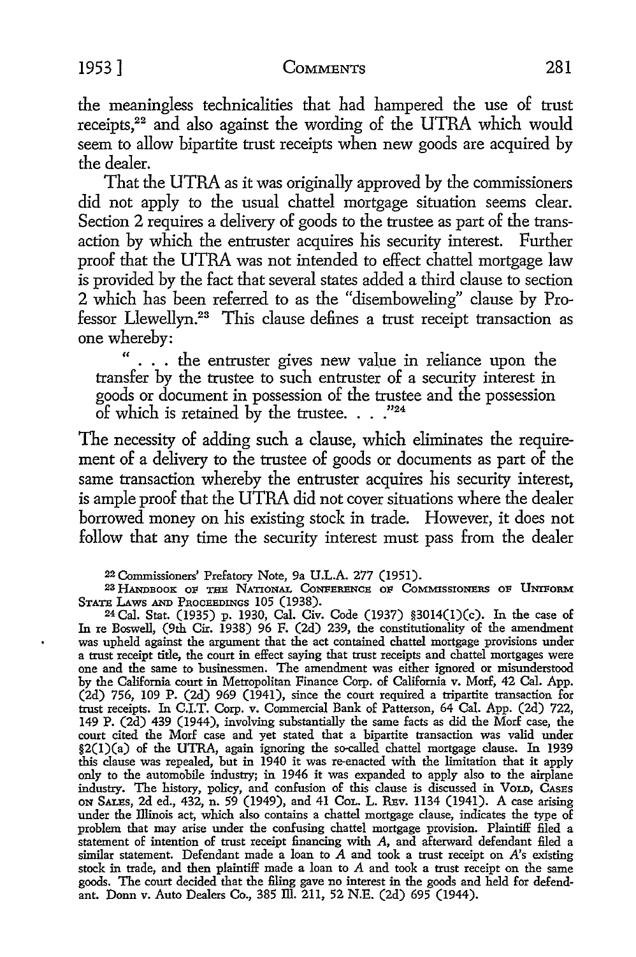the meaningless technicalities that had hampered the use of trust receipts,<sup>22</sup> and also against the wording of the UTRA which would seem to allow bipartite trust receipts when new goods are acquired by the dealer.

That the UTRA as it was originally approved by the commissioners did not apply to the usual chattel mortgage situation seems clear. Section 2 requires a delivery of goods to the trustee as part of the transaction by which the entruster acquires his security interest. Further proof that the UTRA was not intended to effect chattel mortgage law is provided by the fact that several states added a third clause to section 2 which has been referred to as the "disemboweling" clause by Professor Llewellyn.<sup>23</sup> This clause defines a trust receipt transaction as one whereby:

... the entruster gives new value in reliance upon the transfer by the trustee to such entruster of a security interest in goods or document in possession of the trustee and the possession of which is retained by the trustee.  $\ldots$  ."24

The necessity of adding such a clause, which eliminates the requirement of a delivery to the trustee of goods or documents as part of the same transaction whereby the entruster acquires his security interest, is ample proof that the UTRA did not cover situations where the dealer borrowed money on his existing stock in trade. However, it does not follow that any time the security interest must pass from the dealer

<sup>22</sup>Commissioners' Prefatory Note, 9a U.L.A. 277 (1951).

<sup>23</sup> HANDBOOK OF THE NATIONAL CONFERENCE OF COMMISSIONERS OF UNIFORM<br>STATE LAWS AND PROCEEDINGS 105 (1938).

 $24$  Cal. Stat. (1935) p. 1930, Cal. Civ. Code (1937) §3014(1)(c). In the case of In re Boswell, (9th Cir. 1938) 96 F. (2d) 239, the constitutionality of the amendment was upheld against the argument that the act contained chattel mortgage provisions under a trust receipt title, the court in effect saying that trust receipts and chattel mortgages were one and the same to businessmen. The amendment was either ignored or misunderstood by the California court in Metropolitan Finance Corp. of California v. Morf, 42 Cal. App. (2d) 756, 109 P. (2d) 969 (1941), since the court required a tripartite transaction for trust receipts. In C.I.T. Corp. v. Commercial Bank of Patterson, 64 Cal. App. (2d) 722, 149 P. (2d) 439 (1944), involving substantially the same facts as did the Mor£ case, the court cited the Morf case and yet stated that a bipartite transaction was valid under §2(l)(a) of the UTRA, again ignoring the so-called chattel mortgage clause. In 1939 this clause was repealed, but in 1940 it was re-enacted with the limitation that it apply only to the automobile industry; in 1946 it was expanded to apply also to the airplane industry. The history, policy, and confusion of this clause is discussed in Vorn, CASES ON SALEs, 2d ed., 432, n. 59 (1949), and 41 CoL. L. REv. 1134 (1941). A case arising under the Illinois act, which also contains a chattel mortgage clause, indicates the type of problem that may arise under the confusing chattel mortgage provision. Plaintiff filed a statement of intention of trust receipt financing with A, and afterward defendant filed a similar statement. Defendant made a loan to *A* and took a trust receipt on *A's* existing stock in trade, and then plaintiff made a loan to A and took a trust receipt on the same goods. The court decided that the filing gave no interest in the goods and held for defendant. Donn v. Auto Dealers Co., 385 Ill. 211, 52 N.E. (2d) 695 (1944).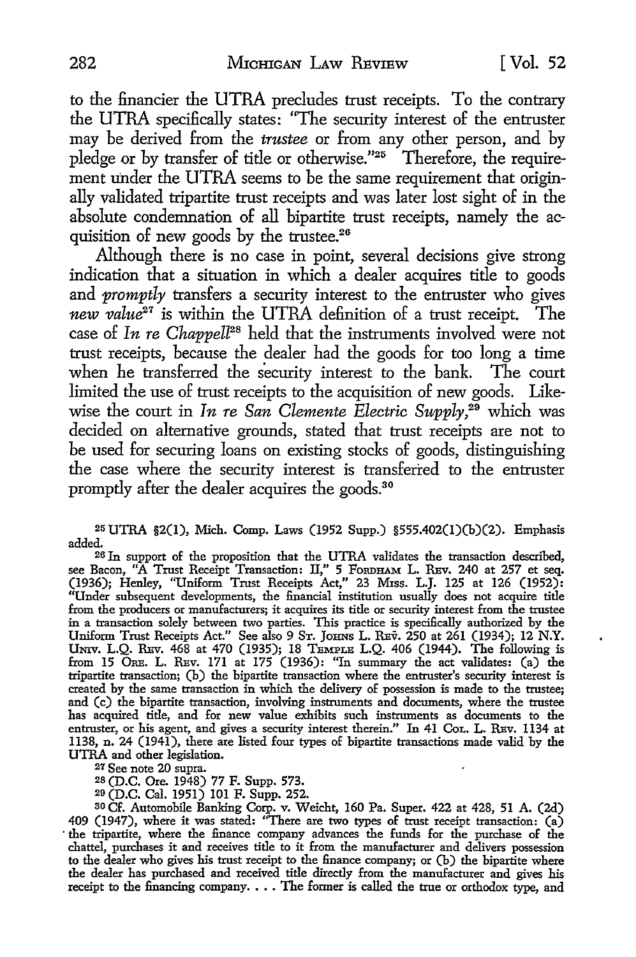to the financier the UTRA precludes trust receipts. To the contrary the UTRA specifically states: "The security interest of the entruster may be derived from the *trustee* or from any other person, and by pledge or by transfer of title or otherwise."25 Therefore, the requirement under the UTRA seems to be the same requirement that originally validated tripartite trust receipts and was later lost sight of in the absolute condemnation of all bipartite trust receipts, namely the acquisition of new goods by the trustee.<sup>26</sup>

Although there is no case in point, several decisions give strong indication that a situation in which a dealer acquires title to goods and *promptly* transfers a security interest to the entruster who gives *new value21* is within the UTRA definition of a trust receipt. The case of *In re Chappell28* held that the instruments involved were not trust receipts, because the dealer had the goods for too long a time when he transferred the security interest to the bank. The court limited the use of trust receipts to the acquisition of new goods. Likewise the court in *In re San Clemente Electric Supply,29* which was decided on alternative grounds, stated that trust receipts are not to be used for securing loans on existing stocks of goods, distinguishing the case where the security interest is transferred to the entruster promptly after the dealer acquires the goods.<sup>30</sup>

<sup>25</sup>UTRA §2(1), Mich. Comp. Laws (1952 Supp.) §555.402(l)(b)(2). Emphasis added.

26 In support of the proposition that the UTRA validates the transaction described, see Bacon, "A Trust Receipt Transaction: II," 5 FORDHAM L. REV. 240 at 257 et seq. (1936); Henley, "Uniform Trust Receipts Act,'' 23 M:rss. L.J. 125 at 126 (1952): "Under subsequent developments, the financial institution usually does not acquire title from the producers or manufacturers; it acquires its title or security interest from the trustee in a transaction solely between two parties. This practice is specifically authorized by the Uniform Trust Receipts Act." See also 9 ST. JoHNs L. REv. 250 at 261 (1934); 12 **N.Y.**  UNIV. L.Q. REv. 468 at 470 (1935); 18 TEMPLE L.Q. 406 (1944). The following is from 15 ORE. L. REV. 171 at 175 (1936): "In summary the act validates: (a) the tripartite transaction; (b) the bipartite transaction where the entruster's security interest is created by the same transaction in which the delivery of possession is made to the trustee; and (c) the bipartite transaction, involving instruments and documents, where the trustee has acquired title, and for new value exhibits such instruments as documents to the entruster, or his agent, and gives a security interest therein." In 41 CoL. L. REv. 1134 at 1138, n. 24 (1941), there are listed four types of bipartite transactions made valid by the UTRA and other legislation.

27 See note 20 supra.

2s (D.C. Ore. 1948) 77 F. Supp. 573.

29 (D.C. Cal. 1951) 101 F. Supp. 252.

so Cf. Automobile Banking Corp. v. Weicht, 160 Pa. Super. 422 at 428, 51 A. (2d) 409 (1947), where it was stated: "There are two types of trust receipt transaction: (a) · the tripartite, where the finance company advances the funds for the purchase of the chattel, purchases it and receives title to it from the manufacturer and delivers possession to the dealer who gives his trust receipt to the finance company; or (b) the bipartite where the dealer has purchased and received title directly from the manufacturer and gives his receipt to the financing company.... The former is called the true or orthodox type, and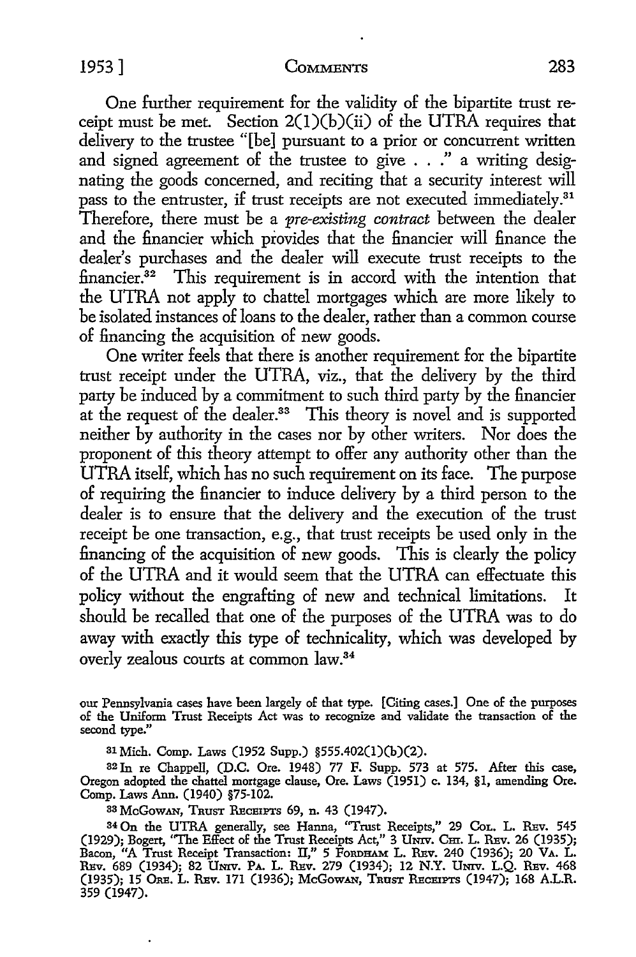One further requirement for the validity of the bipartite trust receipt must be met. Section  $2(1)(b)(ii)$  of the UTRA requires that delivery to the trustee "[be] pursuant to a prior or concurrent written and signed agreement of the trustee to give . . ." a writing designating the goods concerned, and reciting that a security interest will pass to the entruster, if trust receipts are not executed immediately.<sup>31</sup> Therefore, there must be a *pre-existing contract* between the dealer and the financier which provides that the financier will finance the dealer's purchases and the dealer will execute trust receipts to the financier.<sup>32</sup> This requirement is in accord with the intention that the UTRA not apply to chattel mortgages which are more likely to be isolated instances of loans to the dealer, rather than a common course of financing the acquisition of new goods.

One writer feels that there is another requirement for the bipartite trust receipt under the UTRA, viz., that the delivery by the third party be induced by a commitment to such third party by the financier at the request of the dealer.<sup>33</sup> This theory is novel and is supported neither by authority in the cases nor by other writers. Nor does the proponent of this theory attempt to offer any authority other than the UTRA itself, which has no such requirement on its face. The purpose of requiring the financier to induce delivery by a third person to the dealer is to ensure that the delivery and the execution of the trust receipt be one transaction, e.g., that trust receipts be used only in the financing of the acquisition of new goods. This is clearly the policy of the UTRA and it would seem that the UTRA can effectuate this policy without the engrafting of new and technical limitations. It should be recalled that one of the purposes of the UTRA was to do away with exactly this type of technicality, which was developed by overly zealous courts at common law.<sup>34</sup>

our Pennsylvania cases have been largely 0£ that type. [Citing cases.] One of the purposes of the Uniform Trust Receipts Act was to recognize and validate the transaction 0£ the second type."

31 Mich. Comp. Laws (1952 Supp.) §555.402(l)(b)(2).

<sup>32</sup>In re Chappell, (D.C. Ore. 1948) 77 F. Supp. 573 at 575. After this case, Oregon adopted the chattel mortgage clause, Ore. Laws (1951) c. 134, §1, amending Ore. Comp. Laws Ann. (1940) §75-102.

<sup>33</sup>McGOWAN, TRUST REcBIPTS 69, n. 43 (1947).

<sup>34</sup>On the UTRA generally, see Hanna, "Trust Receipts," 29 CoL. L. REv. 545 (1929); Bogert, "The Effect 0£ the Trust Receipts Act," 3 UNIV. Cm. L. REv. 26 (1935); Bacon, "A Trust Receipt Transaction: II,'' 5 FoRDHAM L. REv. 240 (1936); 20 VA. L. RBv. 689 (1934); 82 UNIV. PA. L. R:ev. 279 (1934); 12 N.Y. UNIV. L.Q. R:ev. 468 (1935); 15 ORE. L. REV. 171 (1936); McGowAN, TRUST RECEIPTS (1947); 168 A.L.R. 359 (1947).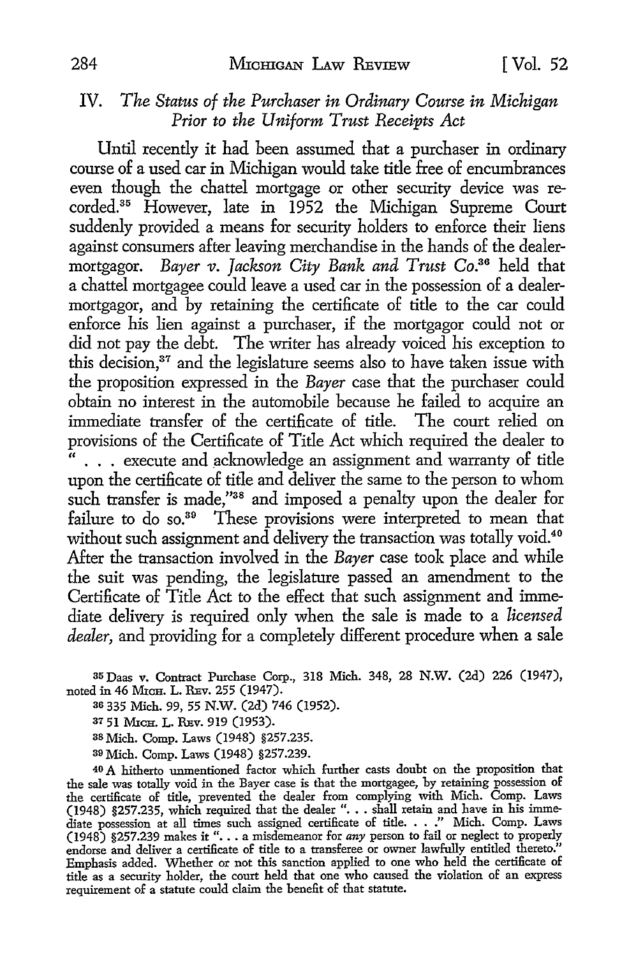### IV. *The Status of the Purchaser in Ordinary Course in Michigan Prior to the Uniform Trust Receipts Act*

Until recently it had been assumed that a purchaser in ordinary course of a used car in Michigan would take title free of encumbrances even though the chattel mortgage or other security device was recorded. 35 However, late in 1952 the Michigan Supreme Court suddenly provided a means for security holders to enforce their liens against consumers after leaving merchandise in the hands of the dealermortgagor. *Bayer v. Jackson City Bank and Trust* Co.36 held that a chattel mortgagee could leave a used car in the possession of a dealermortgagor, and by retaining the certificate of title to the car could enforce his lien against a purchaser, if the mortgagor could not or did not pay the debt. The writer has already voiced his exception to this decision,<sup>37</sup> and the legislature seems also to have taken issue with the proposition expressed in the *Bayer* case that the purchaser could obtain no interest in the automobile because he failed to acquire an immediate transfer of the certificate of title. The court relied on provisions of the Certificate of Title Act which required the dealer to ... execute and acknowledge an assignment and warranty of title upon the certificate of title and deliver the same to the person to whom such transfer is made,"<sup>38</sup> and imposed a penalty upon the dealer for failure to do so.<sup>39</sup> These provisions were interpreted to mean that without such assignment and delivery the transaction was totally void.<sup>40</sup> After the transaction involved in the *Bayer* case took place and while the suit was pending, the legislature passed an amendment to the Certificate of Title Act to the effect that such assignment and immediate delivery is required only when the sale is made to a *licensed dealer,* and providing for a completely different procedure when a sale

35 Daas v. Contract Purchase Corp., 318 Mich. 348, 28 N.W. (2d) 226 (1947), noted in 46 Mich. L. REv. 255 (1947).

<sup>36</sup>335 Mich. 99, 55 N.W. (2d) 746 (1952).

37 51 MICH. L. REv. 919 (1953).

38 Mich. Comp. Laws (1948) §257.235.

39 Mich. Comp. Laws (1948) §257.239.

40 A hitherto unmentioned factor which further casts doubt on the proposition that the sale was totally void in the Bayer case is that the mortgagee, by retaining possession of the certificate of title, prevented the dealer from complying with Mich. Comp. Laws (1948) §257.235, which required that the dealer "...shall retain and have in his immediate possession at all times such assigned certific Emphasis added. Whether or not this sanction applied to one who held the certificate of title as a security holder, the court held that one who caused the violation of an express requirement of a statute could claim the benefit of that statute.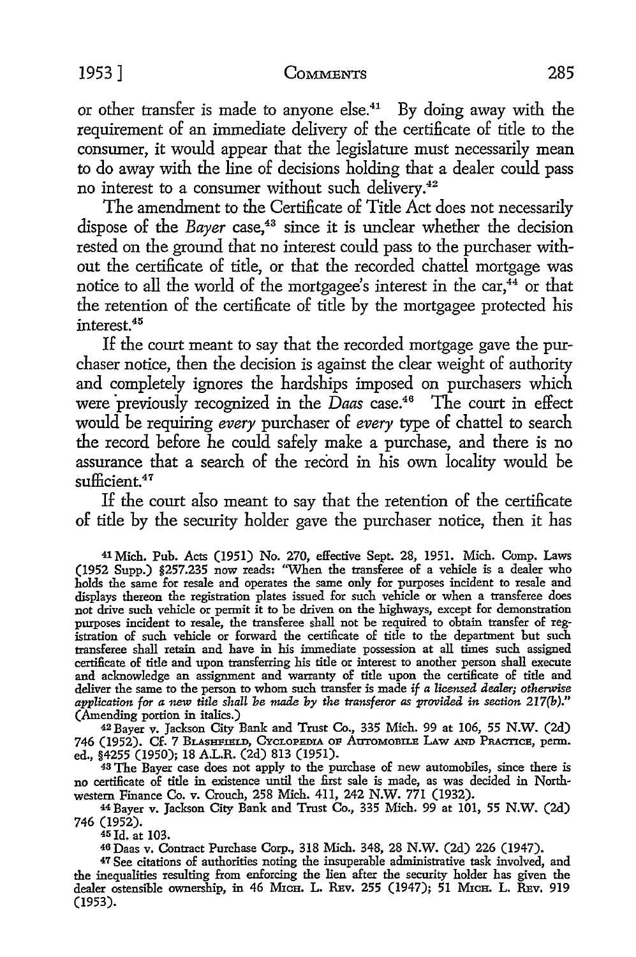or other transfer is made to anyone else.41 By doing away with the requirement of an immediate delivery of the certificate of title to the consumer, it would appear that the legislature must necessarily mean to do away with the line of decisions holding that a dealer could pass no interest to a consumer without such delivery.<sup>42</sup>

The amendment to the Certificate of Title Act does not necessarily dispose of the *Bayer* case,<sup>43</sup> since it is unclear whether the decision rested on the ground that no interest could pass to the purchaser without the certificate of title, or that the recorded chattel mortgage was notice to all the world of the mortgagee's interest in the car,<sup>44</sup> or that the retention of the certificate of title by the mortgagee protected his interest. <sup>45</sup>

If the court meant to say that the recorded mortgage gave the purchaser notice, then the decision is against the clear weight of authority and completely ignores the hardships imposed on purchasers which were previously recognized in the *Daas* case.<sup>46</sup> The court in effect would be requiring *every* purchaser of *every* type of chattel to search the record before he could safely make a purchase, and there is no assurance that a search of the record in his own locality would be sufficient.<sup>47</sup>

If the court also meant to say that the retention of the certificate of title by the security holder gave the purchaser notice, then it has

41 Mich. Pub. Acts (1951) No. 270, effective Sept. 28, 1951. Mich. Comp. Laws (1952 Supp.) §257.235 now reads: "When the transferee of a vehicle is a dealer who holds the same for resale and operates the same only for purposes incident to resale and displays thereon the registration plates issued for such vehicle or when a transferee does not drive such vehicle or permit it to be driven on the highways, except for demonstration purposes incident to resale, the transferee shall not be required to obtain transfer of registration of such vehicle or forward the certificate of title to the department but such transferee shall retain and have in his immediate possession at all times such assigned certificate of title and upon transferring his title or interest to another person shall execute and acknowledge an assignment and warranty of title upon the certificate of title and deliver the same to the person to whom such transfer is made if *a licensed dealer; otherwise application for a new title shall be made by the transferor as provided in section 217(b)."*  (Amending portion in italics.)

<sup>42</sup>Bayer v. Jackson City Bank and Trust Co., 335 Mich. 99 at 106, 55 N.W. (2d) 746 (1952). Cf. 7 BLASHFIELD, CYCLOPEDIA OF AUTOMOBILE LAW AND PRACTICE, perm. ed., §4255 (1950); 18 A.L.R. (2d) 813 (1951).

<sup>43</sup>The Bayer case does not apply to the purchase of new automobiles, since there is no certificate of title in existence until the first sale is made, as was decided in Northwestem Finance Co. v. Crouch, 258 Mich. 411, 242 N.W. 771 (1932).

<sup>44</sup>Bayer v. Jackson City Bank and Trust Co., 335 Mich. 99 at 101, 55 N.W. (2d) 746 (1952).<br><sup>45</sup> Id. at 103.

<sup>45</sup>Id. at 103. 46 Daas v. Contract Purchase Corp., 318 Mich. 348, 28 N.W. (2d) 226 (1947).

47 See citations of authorities noting the insuperable administrative task involved, and the inequalities resulting from enforcing the lien after the security holder has given the dealer ostensible ownership, in 46 MICH. L. REv. 255 (1947); 51 MICH. L. REv. 919 (1953).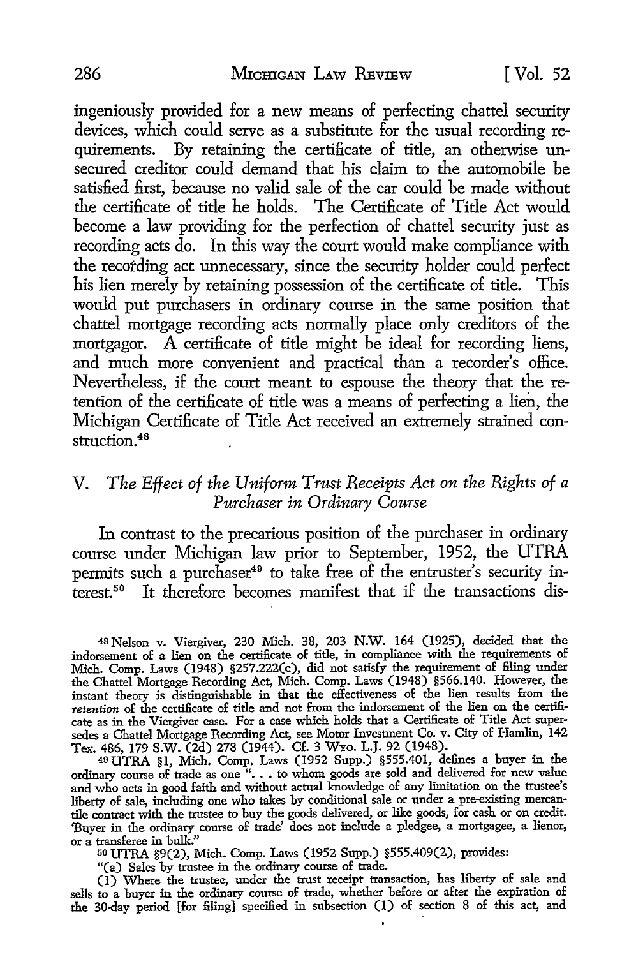ingeniously provided for a new means of perfecting chattel security devices, which could serve as a substitute for the usual recording requirements. By retaining the certificate of title, an otherwise unsecured creditor could demand that his claim to the automobile be satisfied first, because no valid sale of the car could be made without the certificate of title he holds. The Certificate of Title Act would become a law providing for the perfection of chattel security just as recording acts do. In this way the court would make compliance with the recording act unnecessary, since the security holder could perfect his lien merely by retaining possession of the certificate of title. This would put purchasers in ordinary course in the same position that chattel mortgage recording acts normally place only creditors of the mortgagor. A certificate of title might be ideal for recording liens, and much more convenient and practical than a recorder's office. Nevertheless, if the court meant to espouse the theory that the retention of the certificate of title was a means of perfecting a lien, the Michigan Certificate of Title Act received an extremely strained construction. <sup>48</sup>

#### V. *The Effect of the Uniform Trust Receipts Act on the Rights of a Purchaser in Ordinary Course*

In contrast to the precarious position of the purchaser in ordinary course under Michigan law prior to September, 1952, the UTRA permits such a purchaser<sup>49</sup> to take free of the entruster's security interest.<sup>50</sup> It therefore becomes manifest that if the transactions dis-

<sup>48</sup>Nelson v. Viergiver, 230 Mich. 38, 203 N.W. 164 (1925), decided that the indorsement of a lien on the certificate of title, in compliance with the requirements of Mich. Comp. Laws (1948) §257.222(c), did not satisfy the requirement of filing under the Chattel Mortgage Recording Act, Mich. Comp. Laws (1948) §566.140. However, the instant theory is distinguishable in that the effectiveness of the lien results from the *retention* of the certificate of title and not from the indorsement of the lien on the certificate as in the Viergiver case. For a case which holds that a Certificate of Title Act supersedes a Chattel Mortgage Recording Act, see Motor Investment Co. v. City of Hamlin, 142 Tex. 486, 179 S.W. (2d) 278 (1944). Cf. 3 WYO. L.J. 92 (1948).

49 UTRA §1, Mich. Comp. Laws (1952 Supp.) §555.401, defines a buyer in the ordinary course of trade as one" •.• to whom goods are sold and delivered for new value and who acts in good faith and without actual knowledge of any limitation on the trustee's liberty of sale, including one who takes by conditional sale or under a pre-existing mercantile contract with the trustee to buy the goods delivered, or like goods, for cash or on credit. 'Buyer in the ordinary course of trade' does not include a pledgee, a mortgagee, a lienor, or a transferee in bulk."

50 UTRA §9(2), Mich. Comp. Laws (1952 Supp.) §555.409(2), provides:

"(a) Sales by trustee in the ordinary course of trade.

(I) Where the trustee, under the trust receipt transaction, has liberty of sale and sells to a buyer in the ordinary course of trade, whether before or after the expiration of the 30-day period [for filing] specified in subsection (I) of section 8 of this act, and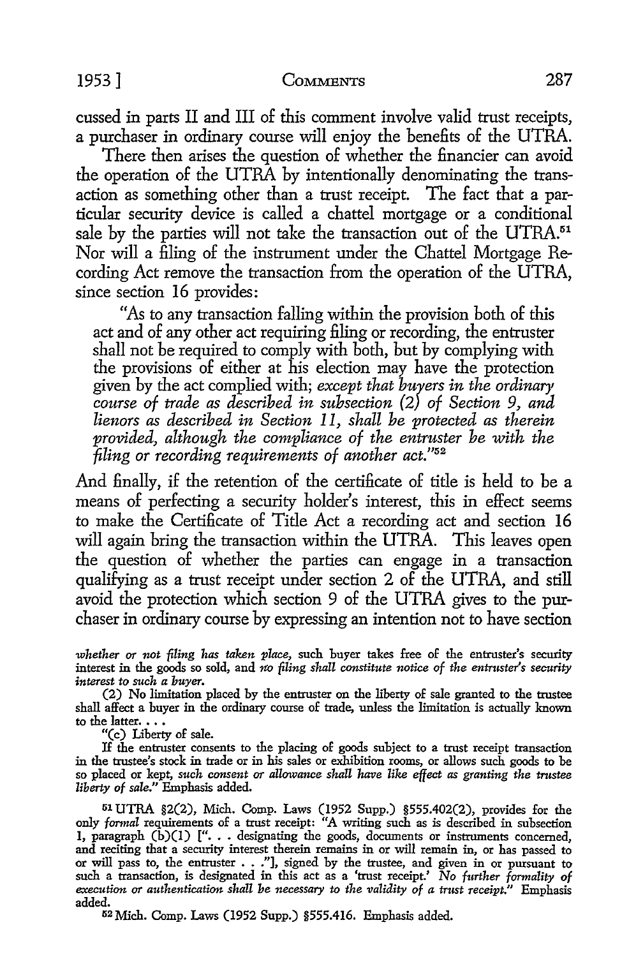cussed in parts II and III of this comment involve valid trust receipts, a purchaser in ordinary course will enjoy the benefits of the UTRA.

There then arises the question of whether the financier can avoid the operation of the UTRA by intentionally denominating the transaction as something other than a trust receipt. The fact that a particular security device is called a chattel mortgage or a conditional sale by the parties will not take the transaction out of the UTRA.<sup>51</sup> Nor will a filing of the instrument under the Chattel Mortgage Recording Act remove the transaction from the operation of the UTRA, since section 16 provides:

"As to any transaction falling within the provision both of this act and of any other act requiring filing or recording, the entruster shall not be required to comply with both, but by complying with the provisions of either at his election may have the protection given by the act complied with; *except that buyers in the ordinary, course of trade as described in subsection* (2) *of Section 9, and lienors as described in Section* 11, *shall be protected as therein provided, although the compliance of the entruster be with the -filing or recording requirements of another act."52* 

And finally, if the retention of the certificate of title is held to be a means of perfecting a security holder's interest, this in effect seems to make the Certificate of Title Act a recording act and section **16**  will again bring the transaction within the UTRA. This leaves open the question of whether the parties can engage in a transaction qualifying as a trust receipt under section 2 of the UTRA, and still avoid the protection which section 9 of the UTRA gives to the purchaser in ordinary course by expressing an intention not *to* have section

*whether or not filing has taken place,* such buyer takes free of the entruster's security interest in the goods so sold, and *no filing shall constitute notice of the entruster's security interest to such a buyer.* 

(2) No limitation placed by the entruster on the liberty of sale granted to the trustee shall affect a buyer in the ordinary course of trade, unless the limitation is actually known to the latter.  $\ldots$ 

"(c) Liberty of sale.

If the entruster consents to the placing of goods subject to a trust receipt transaction in the trustee's stock in trade or in his sales or exhibition rooms, or allows such goods to be so placed or kept, *such consent or allowance shall have like effect as granting the trustee liberty of sale."* Emphasis added.

51 UTRA §2(2), Mich. Comp. Laws (1952 Supp.) §555.402(2), provides for the only formal requirements of a trust receipt: "A writing such as is described in subsection 1, paragraph (b)(1) [". . . designating the goods, documents or instruments concerned, and reciting that a security interest therei or will pass to, the entruster  $\ldots$ ."], signed by the trustee, and given in or pursuant to such a transaction, is designated in this act as a 'trust receipt.' No further formality of *execution or authentication shall be necessary to the validity of a trust receipt."* Emphasis added.

52Mich. Comp. Laws (1952 Supp.) §555.416. Emphasis added.